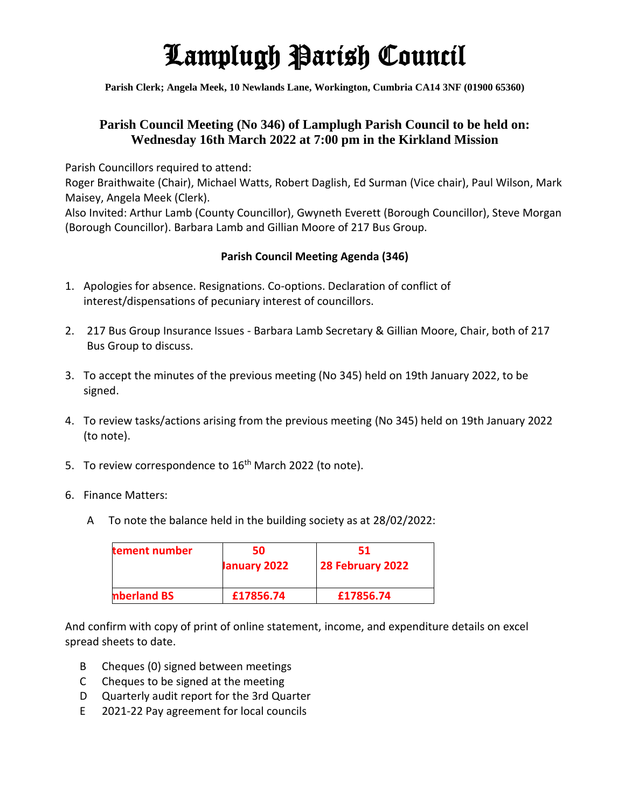## Lamplugh Parish Council

**Parish Clerk; Angela Meek, 10 Newlands Lane, Workington, Cumbria CA14 3NF (01900 65360)**

## **Parish Council Meeting (No 346) of Lamplugh Parish Council to be held on: Wednesday 16th March 2022 at 7:00 pm in the Kirkland Mission**

Parish Councillors required to attend:

Roger Braithwaite (Chair), Michael Watts, Robert Daglish, Ed Surman (Vice chair), Paul Wilson, Mark Maisey, Angela Meek (Clerk).

Also Invited: Arthur Lamb (County Councillor), Gwyneth Everett (Borough Councillor), Steve Morgan (Borough Councillor). Barbara Lamb and Gillian Moore of 217 Bus Group.

## **Parish Council Meeting Agenda (346)**

- 1. Apologies for absence. Resignations. Co-options. Declaration of conflict of interest/dispensations of pecuniary interest of councillors.
- 2. 217 Bus Group Insurance Issues Barbara Lamb Secretary & Gillian Moore, Chair, both of 217 Bus Group to discuss.
- 3. To accept the minutes of the previous meeting (No 345) held on 19th January 2022, to be signed.
- 4. To review tasks/actions arising from the previous meeting (No 345) held on 19th January 2022 (to note).
- 5. To review correspondence to 16<sup>th</sup> March 2022 (to note).
- 6. Finance Matters:
	- A To note the balance held in the building society as at 28/02/2022:

| tement number | 50<br>January 2022 | 51<br>28 February 2022 |
|---------------|--------------------|------------------------|
| nberland BS   | £17856.74          | £17856.74              |

And confirm with copy of print of online statement, income, and expenditure details on excel spread sheets to date.

- B Cheques (0) signed between meetings
- C Cheques to be signed at the meeting
- D Quarterly audit report for the 3rd Quarter
- E 2021-22 Pay agreement for local councils